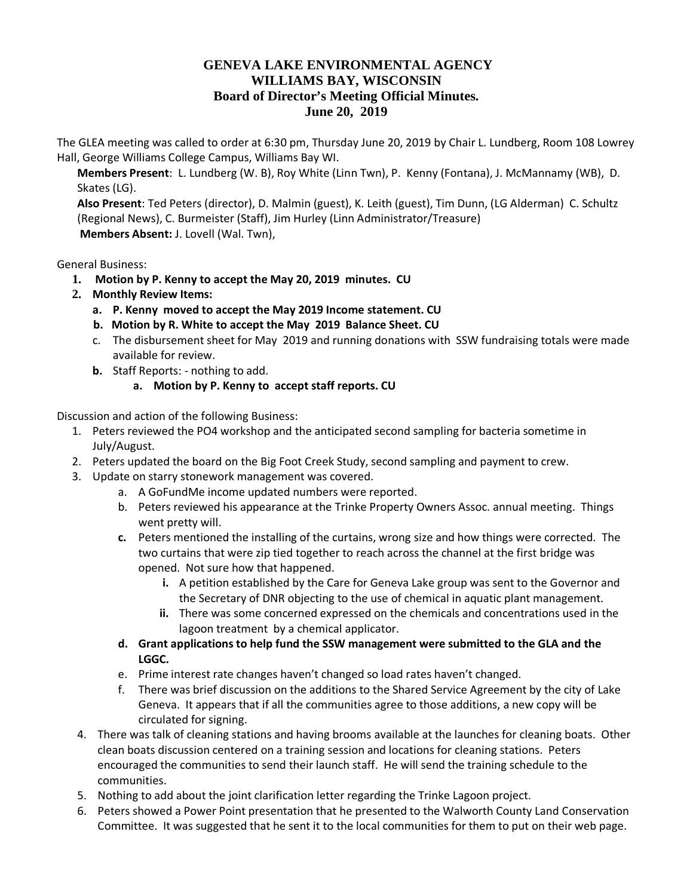## **GENEVA LAKE ENVIRONMENTAL AGENCY WILLIAMS BAY, WISCONSIN Board of Director's Meeting Official Minutes. June 20, 2019**

The GLEA meeting was called to order at 6:30 pm, Thursday June 20, 2019 by Chair L. Lundberg, Room 108 Lowrey Hall, George Williams College Campus, Williams Bay WI.

**Members Present**: L. Lundberg (W. B), Roy White (Linn Twn), P. Kenny (Fontana), J. McMannamy (WB), D. Skates (LG).

**Also Present**: Ted Peters (director), D. Malmin (guest), K. Leith (guest), Tim Dunn, (LG Alderman) C. Schultz (Regional News), C. Burmeister (Staff), Jim Hurley (Linn Administrator/Treasure) **Members Absent:** J. Lovell (Wal. Twn),

General Business:

- **1. Motion by P. Kenny to accept the May 20, 2019 minutes. CU**
- **2. Monthly Review Items:**
	- **a. P. Kenny moved to accept the May 2019 Income statement. CU**
	- **b. Motion by R. White to accept the May 2019 Balance Sheet. CU**
	- c. The disbursement sheet for May 2019 and running donations with SSW fundraising totals were made available for review.
	- **b.** Staff Reports: nothing to add.
		- **a. Motion by P. Kenny to accept staff reports. CU**

Discussion and action of the following Business:

- 1. Peters reviewed the PO4 workshop and the anticipated second sampling for bacteria sometime in July/August.
- 2. Peters updated the board on the Big Foot Creek Study, second sampling and payment to crew.
- 3. Update on starry stonework management was covered.
	- a. A GoFundMe income updated numbers were reported.
	- b. Peters reviewed his appearance at the Trinke Property Owners Assoc. annual meeting. Things went pretty will.
	- **c.** Peters mentioned the installing of the curtains, wrong size and how things were corrected. The two curtains that were zip tied together to reach across the channel at the first bridge was opened. Not sure how that happened.
		- **i.** A petition established by the Care for Geneva Lake group was sent to the Governor and the Secretary of DNR objecting to the use of chemical in aquatic plant management.
		- **ii.** There was some concerned expressed on the chemicals and concentrations used in the lagoon treatment by a chemical applicator.
	- **d. Grant applications to help fund the SSW management were submitted to the GLA and the LGGC.**
	- e. Prime interest rate changes haven't changed so load rates haven't changed.
	- f. There was brief discussion on the additions to the Shared Service Agreement by the city of Lake Geneva. It appears that if all the communities agree to those additions, a new copy will be circulated for signing.
- 4. There was talk of cleaning stations and having brooms available at the launches for cleaning boats. Other clean boats discussion centered on a training session and locations for cleaning stations. Peters encouraged the communities to send their launch staff. He will send the training schedule to the communities.
- 5. Nothing to add about the joint clarification letter regarding the Trinke Lagoon project.
- 6. Peters showed a Power Point presentation that he presented to the Walworth County Land Conservation Committee. It was suggested that he sent it to the local communities for them to put on their web page.